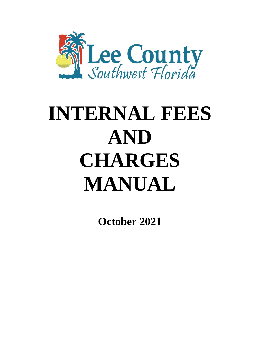

# **INTERNAL FEES AND CHARGES MANUAL**

**October 2021**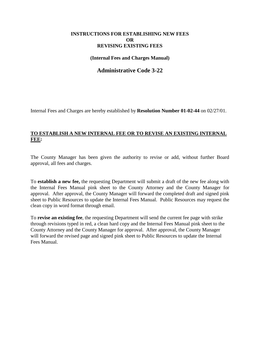### **INSTRUCTIONS FOR ESTABLISHING NEW FEES OR REVISING EXISTING FEES**

**(Internal Fees and Charges Manual)**

### **Administrative Code 3-22**

Internal Fees and Charges are hereby established by **Resolution Number 01-02-44** on 02/27/01.

### **TO ESTABLISH A NEW INTERNAL FEE OR TO REVISE AN EXISTING INTERNAL FEE:**

The County Manager has been given the authority to revise or add, without further Board approval, all fees and charges.

To **establish a new fee,** the requesting Department will submit a draft of the new fee along with the Internal Fees Manual pink sheet to the County Attorney and the County Manager for approval. After approval, the County Manager will forward the completed draft and signed pink sheet to Public Resources to update the Internal Fees Manual. Public Resources may request the clean copy in word format through email.

To **revise an existing fee**, the requesting Department will send the current fee page with strike through revisions typed in red, a clean hard copy and the Internal Fees Manual pink sheet to the County Attorney and the County Manager for approval. After approval, the County Manager will forward the revised page and signed pink sheet to Public Resources to update the Internal Fees Manual.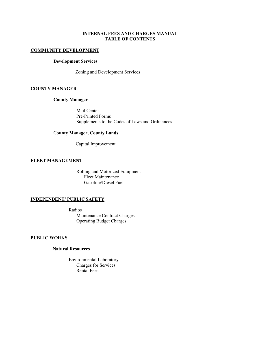### **INTERNAL FEES AND CHARGES MANUAL TABLE OF CONTENTS**

### **COMMUNITY DEVELOPMENT**

### **Development Services**

Zoning and Development Services

### **COUNTY MANAGER**

### **County Manager**

Mail Center Pre-Printed Forms Supplements to the Codes of Laws and Ordinances

### C**ounty Manager, County Lands**

Capital Improvement

### **FLEET MANAGEMENT**

Rolling and Motorized Equipment Fleet Maintenance Gasoline/Diesel Fuel

### **INDEPENDENT/ PUBLIC SAFETY**

Radios Maintenance Contract Charges Operating Budget Charges

### **PUBLIC WORKS**

### **Natural Resources**

Environmental Laboratory Charges for Services Rental Fees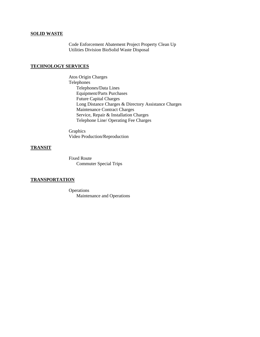### **SOLID WASTE**

Code Enforcement Abatement Project Property Clean Up Utilities Division BioSolid Waste Disposal

### **TECHNOLOGY SERVICES**

 Atos Origin Charges Telephones Telephones/Data Lines Equipment/Parts Purchases Future Capital Charges Long Distance Charges & Directory Assistance Charges Maintenance Contract Charges Service, Repair & Installation Charges Telephone Line/ Operating Fee Charges

**Graphics** Video Production/Reproduction

### **TRANSIT**

 Fixed Route Commuter Special Trips

### **TRANSPORTATION**

 Operations Maintenance and Operations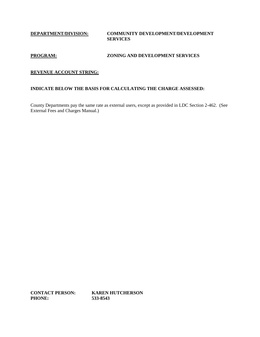**DEPARTMENT/DIVISION: COMMUNITY DEVELOPMENT/DEVELOPMENT SERVICES**

### **PROGRAM: ZONING AND DEVELOPMENT SERVICES**

### **REVENUE ACCOUNT STRING:**

### **INDICATE BELOW THE BASIS FOR CALCULATING THE CHARGE ASSESSED:**

County Departments pay the same rate as external users, except as provided in LDC Section 2-462. (See External Fees and Charges Manual.)

**CONTACT PERSON: KAREN HUTCHERSON PHONE: 533-8543**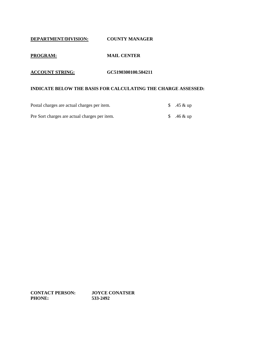### **DEPARTMENT/DIVISION: COUNTY MANAGER**

### **PROGRAM: MAIL CENTER**

### **ACCOUNT STRING: GC5190300100.504211**

### **INDICATE BELOW THE BASIS FOR CALCULATING THE CHARGE ASSESSED:**

| Postal charges are actual charges per item.   | \$ .45 & up |
|-----------------------------------------------|-------------|
| Pre Sort charges are actual charges per item. | \$ .46 & up |

**CONTACT PERSON: JOYCE CONATSER PHONE: 533-2492**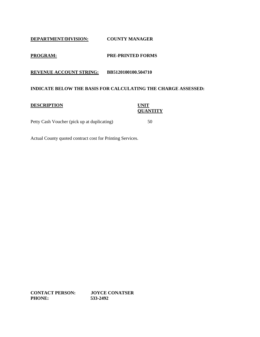### **DEPARTMENT/DIVISION: COUNTY MANAGER**

### **PROGRAM: PRE-PRINTED FORMS**

**REVENUE ACCOUNT STRING: BB5120100100.504710**

### **INDICATE BELOW THE BASIS FOR CALCULATING THE CHARGE ASSESSED:**

### **DESCRIPTION UNIT**

### **QUANTITY**

Petty Cash Voucher (pick up at duplicating) 50

Actual County quoted contract cost for Printing Services.

**CONTACT PERSON: JOYCE CONATSER PHONE: 533-2492**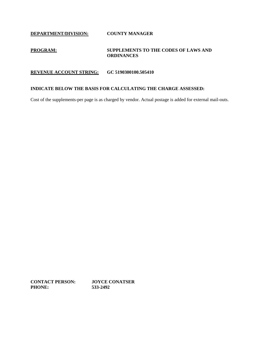**DEPARTMENT/DIVISION: COUNTY MANAGER**

### **PROGRAM: SUPPLEMENTS TO THE CODES OF LAWS AND ORDINANCES**

### **REVENUE ACCOUNT STRING: GC 5190300100.505410**

### **INDICATE BELOW THE BASIS FOR CALCULATING THE CHARGE ASSESSED:**

Cost of the supplements-per page is as charged by vendor. Actual postage is added for external mail-outs.

**CONTACT PERSON: JOYCE CONATSER PHONE: 533-2492**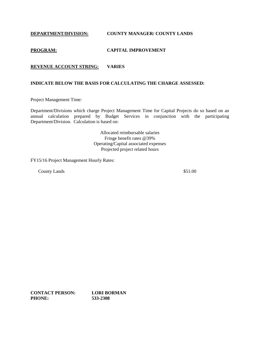**DEPARTMENT/DIVISION: COUNTY MANAGER/ COUNTY LANDS**

### **PROGRAM: CAPITAL IMPROVEMENT**

### **REVENUE ACCOUNT STRING: VARIES**

### **INDICATE BELOW THE BASIS FOR CALCULATING THE CHARGE ASSESSED:**

Project Management Time:

Department/Divisions which charge Project Management Time for Capital Projects do so based on an annual calculation prepared by Budget Services in conjunction with the participating Department/Division. Calculation is based on:

> Allocated reimbursable salaries Fringe benefit rates @39% Operating/Capital associated expenses Projected project related hours

FY15/16 Project Management Hourly Rates:

County Lands \$51.00

**CONTACT PERSON: LORI BORMAN PHONE: 533-2308**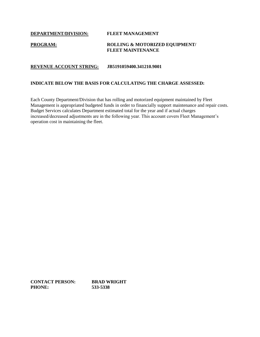**DEPARTMENT/DIVISION: FLEET MANAGEMENT**

### **PROGRAM: ROLLING & MOTORIZED EQUIPMENT/ FLEET MAINTENANCE**

### **REVENUE ACCOUNT STRING: JB5191059400.341210.9001**

### **INDICATE BELOW THE BASIS FOR CALCULATING THE CHARGE ASSESSED:**

Each County Department/Division that has rolling and motorized equipment maintained by Fleet Management is appropriated budgeted funds in order to financially support maintenance and repair costs. Budget Services calculates Department estimated total for the year and if actual charges increased/decreased adjustments are in the following year. This account covers Fleet Management's operation cost in maintaining the fleet.

**CONTACT PERSON: BRAD WRIGHT PHONE: 533-5338**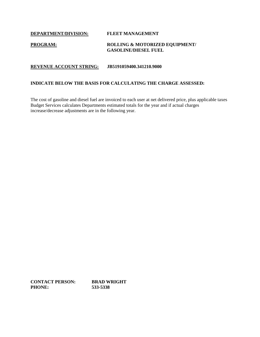**DEPARTMENT/DIVISION: FLEET MANAGEMENT**

### **PROGRAM: ROLLING & MOTORIZED EQUIPMENT/ GASOLINE/DIESEL FUEL**

### **REVENUE ACCOUNT STRING: JB5191059400.341210.9000**

### **INDICATE BELOW THE BASIS FOR CALCULATING THE CHARGE ASSESSED:**

The cost of gasoline and diesel fuel are invoiced to each user at net delivered price, plus applicable taxes Budget Services calculates Departments estimated totals for the year and if actual charges increase/decrease adjustments are in the following year.

**CONTACT PERSON: BRAD WRIGHT PHONE: 533-5338**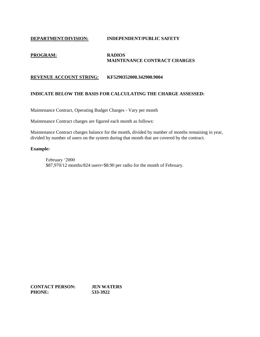### **DEPARTMENT/DIVISION: INDEPENDENT/PUBLIC SAFETY**

### **PROGRAM: RADIOS MAINTENANCE CONTRACT CHARGES**

### **REVENUE ACCOUNT STRING: KF5290352000.342900.9004**

### **INDICATE BELOW THE BASIS FOR CALCULATING THE CHARGE ASSESSED:**

Maintenance Contract, Operating Budget Charges - Vary per month

Maintenance Contract charges are figured each month as follows:

Maintenance Contract charges balance for the month, divided by number of months remaining in year, divided by number of users on the system during that month that are covered by the contract.

### **Example:**

February '2000 \$87,970/12 months/824 users=\$8.90 per radio for the month of February.

**CONTACT PERSON: JEN WATERS PHONE: 533-3922**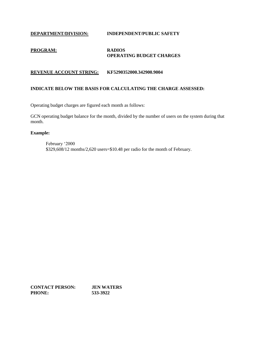### **DEPARTMENT/DIVISION: INDEPENDENT/PUBLIC SAFETY**

### **PROGRAM: RADIOS OPERATING BUDGET CHARGES**

### **REVENUE ACCOUNT STRING: KF5290352000.342900.9004**

### **INDICATE BELOW THE BASIS FOR CALCULATING THE CHARGE ASSESSED:**

Operating budget charges are figured each month as follows:

GCN operating budget balance for the month, divided by the number of users on the system during that month.

### **Example:**

February '2000 \$329,608/12 months/2,620 users=\$10.48 per radio for the month of February.

**CONTACT PERSON: JEN WATERS PHONE: 533-3922**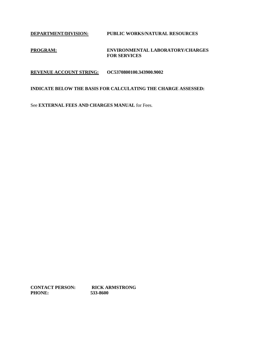**DEPARTMENT/DIVISION: PUBLIC WORKS/NATURAL RESOURCES**

### **PROGRAM: ENVIRONMENTAL LABORATORY/CHARGES FOR SERVICES**

**REVENUE ACCOUNT STRING: OC5370800100.343900.9002**

### **INDICATE BELOW THE BASIS FOR CALCULATING THE CHARGE ASSESSED:**

See **EXTERNAL FEES AND CHARGES MANUAL** for Fees.

**CONTACT PERSON: RICK ARMSTRONG PHONE: 533-8600**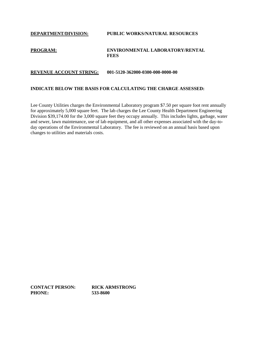## **DEPARTMENT/DIVISION: PUBLIC WORKS/NATURAL RESOURCES PROGRAM: ENVIRONMENTAL LABORATORY/RENTAL FEES**

### **REVENUE ACCOUNT STRING: 001-5120-362000-0300-000-0000-00**

### **INDICATE BELOW THE BASIS FOR CALCULATING THE CHARGE ASSESSED:**

Lee County Utilities charges the Environmental Laboratory program \$7.50 per square foot rent annually for approximately 5,000 square feet. The lab charges the Lee County Health Department Engineering Division \$39,174.00 for the 3,000 square feet they occupy annually. This includes lights, garbage, water and sewer, lawn maintenance, use of lab equipment, and all other expenses associated with the day-today operations of the Environmental Laboratory. The fee is reviewed on an annual basis based upon changes to utilities and materials costs.

**CONTACT PERSON: RICK ARMSTRONG PHONE: 533-8600**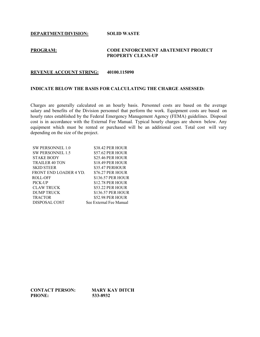**DEPARTMENT/DIVISION: SOLID WASTE**

### **PROGRAM: CODE ENFORCEMENT ABATEMENT PROJECT PROPERTY CLEAN-UP**

#### **REVENUE ACCOUNT STRING: 40100.115090**

### **INDICATE BELOW THE BASIS FOR CALCULATING THE CHARGE ASSESSED:**

Charges are generally calculated on an hourly basis. Personnel costs are based on the average salary and benefits of the Division personnel that perform the work. Equipment costs are based on hourly rates established by the Federal Emergency Management Agency (FEMA) guidelines. Disposal cost is in accordance with the External Fee Manual. Typical hourly charges are shown below. Any equipment which must be rented or purchased will be an additional cost. Total cost will vary depending on the size of the project.

| \$57.62 PER HOUR        |
|-------------------------|
| \$25.46 PER HOUR        |
| \$18.49 PER HOUR        |
| \$35.47 PERHOUR         |
| <b>\$76.27 PER HOUR</b> |
| \$136.57 PER HOUR       |
| \$12.78 PER HOUR        |
| \$53.22 PER HOUR        |
| \$136.57 PER HOUR       |
| <b>\$52.98 PER HOUR</b> |
|                         |
|                         |

**CONTACT PERSON: MARY KAY DITCH PHONE: 533-8932**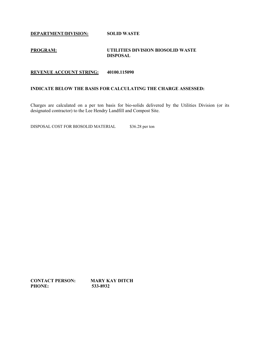**DEPARTMENT/DIVISION: SOLID WASTE**

### **PROGRAM: UTILITIES DIVISION BIOSOLID WASTE DISPOSAL**

### **REVENUE ACCOUNT STRING: 40100.115090**

### **INDICATE BELOW THE BASIS FOR CALCULATING THE CHARGE ASSESSED:**

Charges are calculated on a per ton basis for bio-solids delivered by the Utilities Division (or its designated contractor) to the Lee Hendry Landfill and Compost Site.

DISPOSAL COST FOR BIOSOLID MATERIAL \$36.28 per ton

**CONTACT PERSON: MARY KAY DITCH<br>PHONE:** 533-8932 PHONE: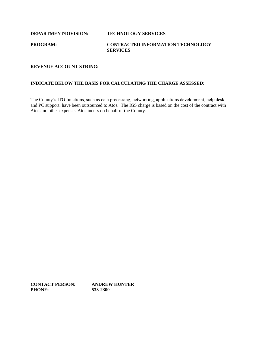### **PROGRAM: CONTRACTED INFORMATION TECHNOLOGY SERVICES**

### **REVENUE ACCOUNT STRING:**

### **INDICATE BELOW THE BASIS FOR CALCULATING THE CHARGE ASSESSED:**

The County's ITG functions, such as data processing, networking, applications development, help desk, and PC support, have been outsourced to Atos. The IGS charge is based on the cost of the contract with Atos and other expenses Atos incurs on behalf of the County.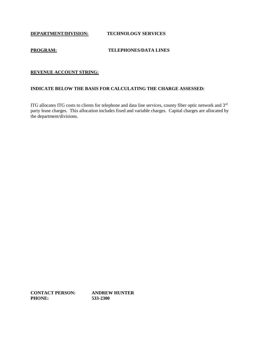### **PROGRAM: TELEPHONES/DATA LINES**

### **REVENUE ACCOUNT STRING:**

### **INDICATE BELOW THE BASIS FOR CALCULATING THE CHARGE ASSESSED:**

ITG allocates ITG costs to clients for telephone and data line services, county fiber optic network and 3rd party lease charges. This allocation includes fixed and variable charges. Capital charges are allocated by the department/divisions.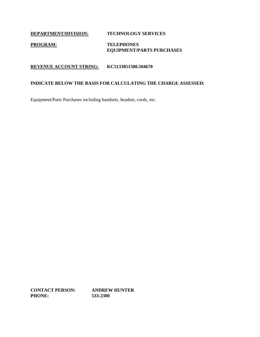### **PROGRAM: TELEPHONES EQUIPMENT/PARTS PURCHASES**

### **REVENUE ACCOUNT STRING: KC5133051500.504670**

### **INDICATE BELOW THE BASIS FOR CALCULATING THE CHARGE ASSESSED:**

Equipment/Parts Purchases including handsets, headset, cords, etc.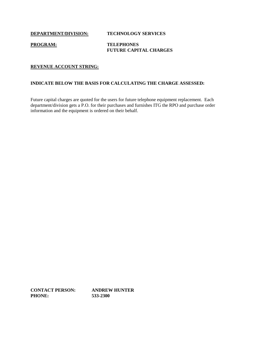### **PROGRAM: TELEPHONES FUTURE CAPITAL CHARGES**

### **REVENUE ACCOUNT STRING:**

### **INDICATE BELOW THE BASIS FOR CALCULATING THE CHARGE ASSESSED:**

Future capital charges are quoted for the users for future telephone equipment replacement. Each department/division gets a P.O. for their purchases and furnishes ITG the RPO and purchase order information and the equipment is ordered on their behalf.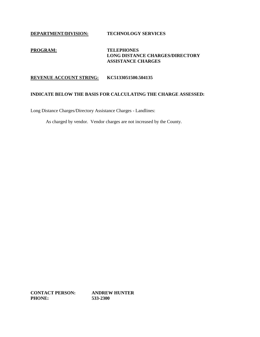### **PROGRAM: TELEPHONES LONG DISTANCE CHARGES/DIRECTORY ASSISTANCE CHARGES**

### **REVENUE ACCOUNT STRING: KC5133051500.504135**

### **INDICATE BELOW THE BASIS FOR CALCULATING THE CHARGE ASSESSED:**

Long Distance Charges/Directory Assistance Charges - Landlines:

As charged by vendor. Vendor charges are not increased by the County.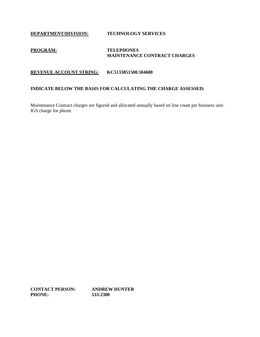### **PROGRAM: TELEPHONES MAINTENANCE CONTRACT CHARGES**

### **REVENUE ACCOUNT STRING: KC5133051500.504680**

### **INDICATE BELOW THE BASIS FOR CALCULATING THE CHARGE ASSESSED:**

Maintenance Contract charges are figured and allocated annually based on line count per business unit. IGS charge for phone.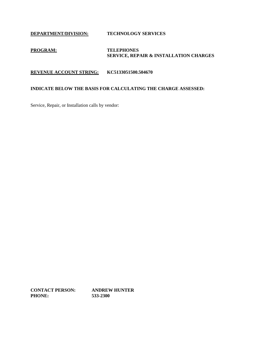### **PROGRAM: TELEPHONES SERVICE, REPAIR & INSTALLATION CHARGES**

**REVENUE ACCOUNT STRING: KC5133051500.504670**

### **INDICATE BELOW THE BASIS FOR CALCULATING THE CHARGE ASSESSED:**

Service, Repair, or Installation calls by vendor: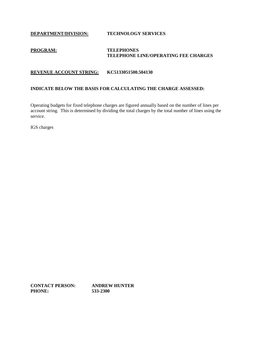### **PROGRAM: TELEPHONES TELEPHONE LINE/OPERATING FEE CHARGES**

### **REVENUE ACCOUNT STRING: KC5133051500.504130**

### **INDICATE BELOW THE BASIS FOR CALCULATING THE CHARGE ASSESSED:**

Operating budgets for fixed telephone charges are figured annually based on the number of lines per account string. This is determined by dividing the total charges by the total number of lines using the service.

IGS charges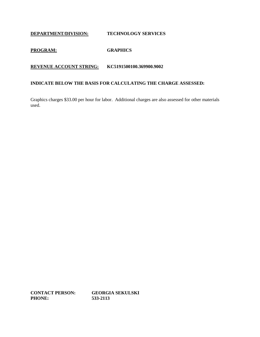### **PROGRAM: GRAPHICS**

### **REVENUE ACCOUNT STRING: KC5191500100.369900.9002**

### **INDICATE BELOW THE BASIS FOR CALCULATING THE CHARGE ASSESSED:**

Graphics charges \$33.00 per hour for labor. Additional charges are also assessed for other materials used.

**CONTACT PERSON: GEORGIA SEKULSKI PHONE: 533-2113**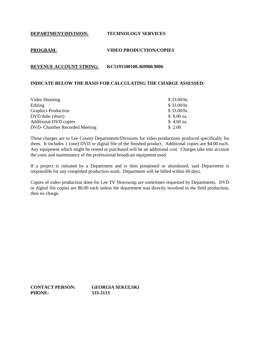### **PROGRAM: VIDEO PRODUCTION/COPIES**

### **REVENUE ACCOUNT STRING: KC5191500100.369900.9006**

### **INDICATE BELOW THE BASIS FOR CALCULATING THE CHARGE ASSESSED:**

| Video Shooting                       | \$33.00/hr. |
|--------------------------------------|-------------|
| Editing                              | \$33.00/hr. |
| <b>Graphics Production</b>           | \$33.00/hr. |
| DVD dubs (short)                     | \$ 8.00 ea. |
| <b>Additional DVD copies</b>         | $$4.00$ ea. |
| <b>DVD-</b> Chamber Recorded Meeting | \$2.00      |

These charges are to Lee County Departments/Divisions for video productions produced specifically for them. It includes 1 (one) DVD or digital file of the finished product. Additional copies are \$4.00 each. Any equipment which might be rented or purchased will be an additional cost. Charges take into account the costs and maintenance of the professional broadcast equipment used.

If a project is initiated by a Department and is then postponed or abandoned, said Department is responsible for any completed production work. Department will be billed within 60 days.

Copies of video production done for Lee TV Newswrap are sometimes requested by Departments. DVD or digital file copies are \$8.00 each unless the department was directly involved in the field production, then no charge.

**CONTACT PERSON: GEORGIA SEKULSKI PHONE: 533-2113**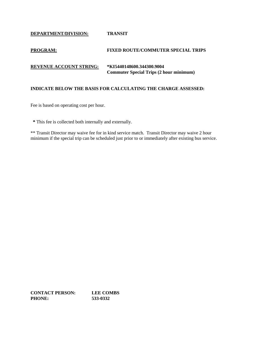**DEPARTMENT/DIVISION: TRANSIT**

### **PROGRAM: FIXED ROUTE/COMMUTER SPECIAL TRIPS**

### **REVENUE ACCOUNT STRING: \*KI5440148600.344300.9004 Commuter Special Trips (2 hour minimum)**

### **INDICATE BELOW THE BASIS FOR CALCULATING THE CHARGE ASSESSED:**

Fee is based on operating cost per hour.

 **\*** This fee is collected both internally and externally.

\*\* Transit Director may waive fee for in kind service match. Transit Director may waive 2 hour minimum if the special trip can be scheduled just prior to or immediately after existing bus service.

**CONTACT PERSON: LEE COMBS PHONE: 533-0332**